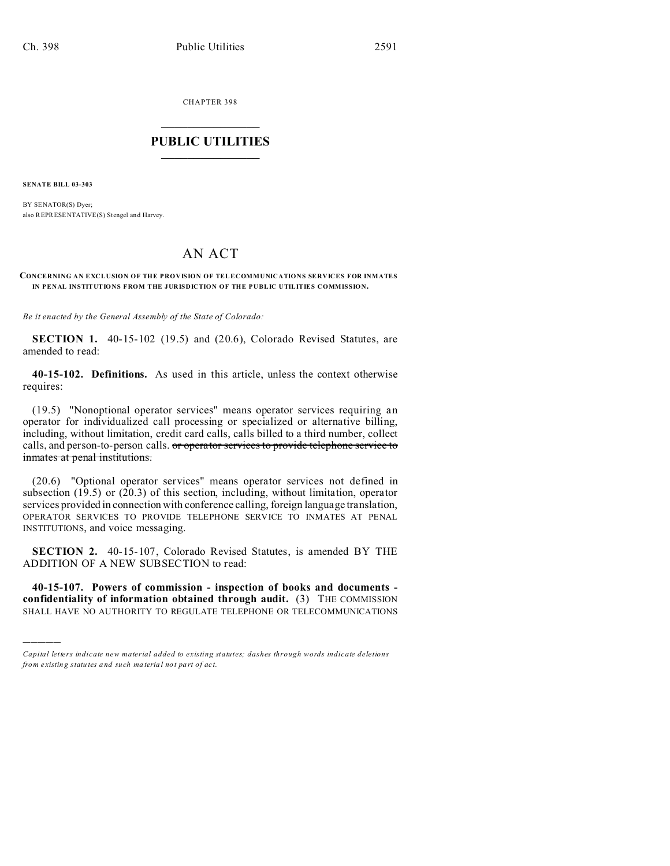CHAPTER 398  $\overline{\phantom{a}}$  , where  $\overline{\phantom{a}}$ 

## **PUBLIC UTILITIES**  $\frac{1}{\sqrt{2}}$  ,  $\frac{1}{\sqrt{2}}$  ,  $\frac{1}{\sqrt{2}}$  ,  $\frac{1}{\sqrt{2}}$  ,  $\frac{1}{\sqrt{2}}$  ,  $\frac{1}{\sqrt{2}}$

**SENATE BILL 03-303**

)))))

BY SENATOR(S) Dyer; also REPRESENTATIVE(S) Stengel an d Harvey.

## AN ACT

## **CONCERNING AN EXCLUSION OF THE PROVISION OF TELECOMMUNICATIONS SERVICES FOR INMATES IN PENAL INSTITUTIONS FROM THE JURISDICTION OF THE PUBLIC UTILITIES COMMISSION.**

*Be it enacted by the General Assembly of the State of Colorado:*

**SECTION 1.** 40-15-102 (19.5) and (20.6), Colorado Revised Statutes, are amended to read:

**40-15-102. Definitions.** As used in this article, unless the context otherwise requires:

(19.5) "Nonoptional operator services" means operator services requiring an operator for individualized call processing or specialized or alternative billing, including, without limitation, credit card calls, calls billed to a third number, collect calls, and person-to-person calls. or operator services to provide telephone service to inmates at penal institutions.

(20.6) "Optional operator services" means operator services not defined in subsection (19.5) or (20.3) of this section, including, without limitation, operator services provided in connection with conference calling, foreign language translation, OPERATOR SERVICES TO PROVIDE TELEPHONE SERVICE TO INMATES AT PENAL INSTITUTIONS, and voice messaging.

**SECTION 2.** 40-15-107, Colorado Revised Statutes, is amended BY THE ADDITION OF A NEW SUBSECTION to read:

**40-15-107. Powers of commission - inspection of books and documents confidentiality of information obtained through audit.** (3) THE COMMISSION SHALL HAVE NO AUTHORITY TO REGULATE TELEPHONE OR TELECOMMUNICATIONS

*Capital letters indicate new material added to existing statutes; dashes through words indicate deletions from e xistin g statu tes a nd such ma teria l no t pa rt of ac t.*